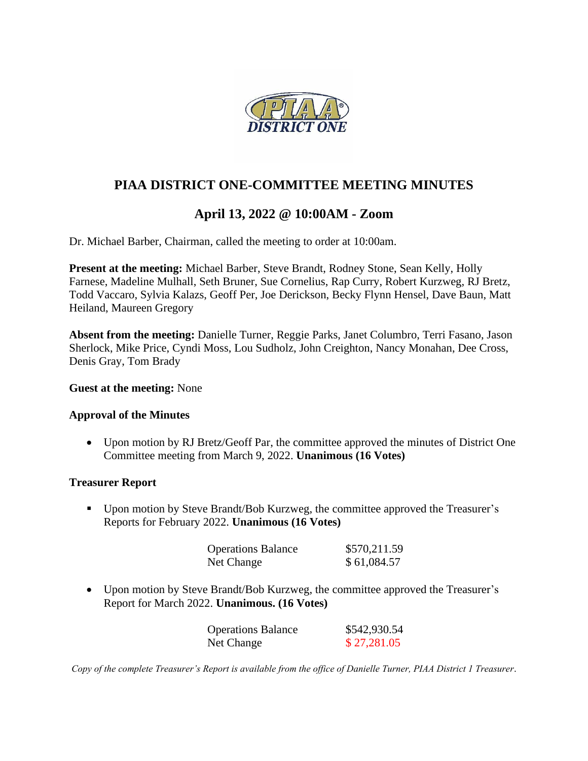

## **PIAA DISTRICT ONE-COMMITTEE MEETING MINUTES**

# **April 13, 2022 @ 10:00AM - Zoom**

Dr. Michael Barber, Chairman, called the meeting to order at 10:00am.

**Present at the meeting:** Michael Barber, Steve Brandt, Rodney Stone, Sean Kelly, Holly Farnese, Madeline Mulhall, Seth Bruner, Sue Cornelius, Rap Curry, Robert Kurzweg, RJ Bretz, Todd Vaccaro, Sylvia Kalazs, Geoff Per, Joe Derickson, Becky Flynn Hensel, Dave Baun, Matt Heiland, Maureen Gregory

**Absent from the meeting:** Danielle Turner, Reggie Parks, Janet Columbro, Terri Fasano, Jason Sherlock, Mike Price, Cyndi Moss, Lou Sudholz, John Creighton, Nancy Monahan, Dee Cross, Denis Gray, Tom Brady

#### **Guest at the meeting:** None

#### **Approval of the Minutes**

• Upon motion by RJ Bretz/Geoff Par, the committee approved the minutes of District One Committee meeting from March 9, 2022. **Unanimous (16 Votes)**

#### **Treasurer Report**

■ Upon motion by Steve Brandt/Bob Kurzweg, the committee approved the Treasurer's Reports for February 2022. **Unanimous (16 Votes)**

| <b>Operations Balance</b> | \$570,211.59 |
|---------------------------|--------------|
| Net Change                | \$61,084.57  |

• Upon motion by Steve Brandt/Bob Kurzweg, the committee approved the Treasurer's Report for March 2022. **Unanimous. (16 Votes)**

| <b>Operations Balance</b> | \$542,930.54 |
|---------------------------|--------------|
| Net Change                | \$27,281.05  |

*Copy of the complete Treasurer's Report is available from the office of Danielle Turner, PIAA District 1 Treasurer.*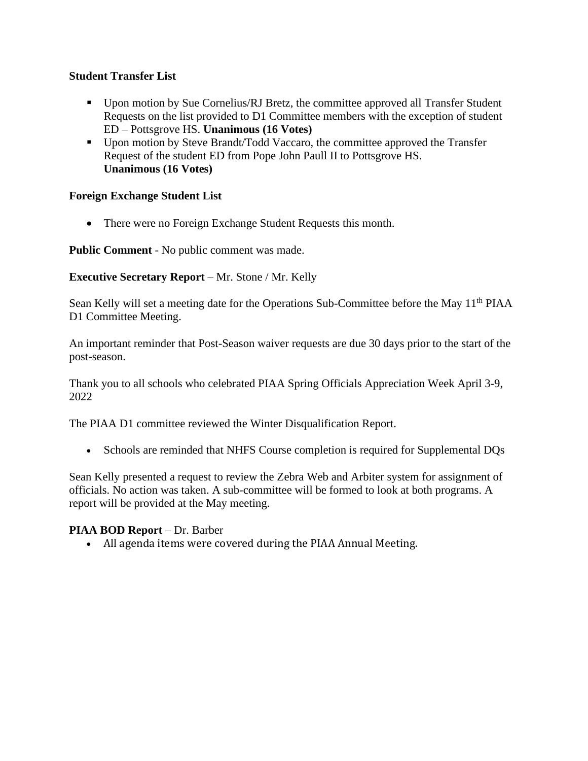## **Student Transfer List**

- Upon motion by Sue Cornelius/RJ Bretz, the committee approved all Transfer Student Requests on the list provided to D1 Committee members with the exception of student ED – Pottsgrove HS. **Unanimous (16 Votes)**
- Upon motion by Steve Brandt/Todd Vaccaro, the committee approved the Transfer Request of the student ED from Pope John Paull II to Pottsgrove HS. **Unanimous (16 Votes)**

#### **Foreign Exchange Student List**

• There were no Foreign Exchange Student Requests this month.

**Public Comment** - No public comment was made.

#### **Executive Secretary Report** – Mr. Stone / Mr. Kelly

Sean Kelly will set a meeting date for the Operations Sub-Committee before the May 11<sup>th</sup> PIAA D1 Committee Meeting.

An important reminder that Post-Season waiver requests are due 30 days prior to the start of the post-season.

Thank you to all schools who celebrated PIAA Spring Officials Appreciation Week April 3-9, 2022

The PIAA D1 committee reviewed the Winter Disqualification Report.

• Schools are reminded that NHFS Course completion is required for Supplemental DQs

Sean Kelly presented a request to review the Zebra Web and Arbiter system for assignment of officials. No action was taken. A sub-committee will be formed to look at both programs. A report will be provided at the May meeting.

#### **PIAA BOD Report** – Dr. Barber

• All agenda items were covered during the PIAA Annual Meeting.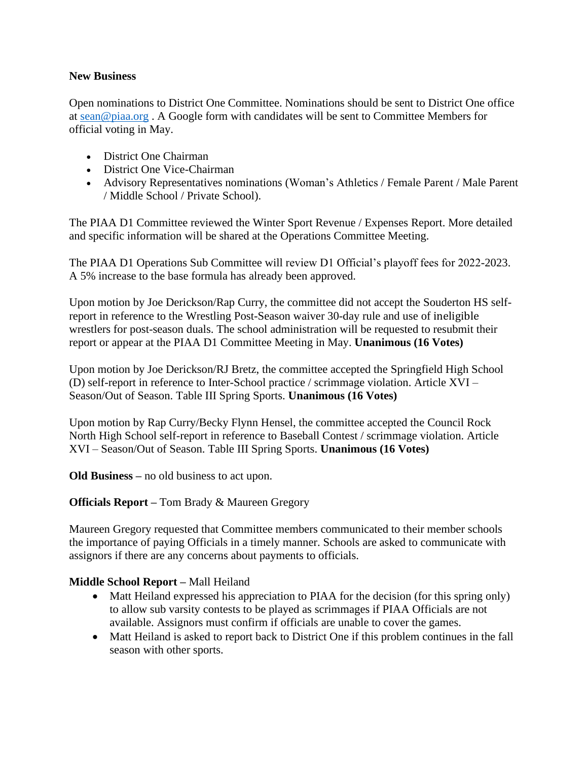#### **New Business**

Open nominations to District One Committee. Nominations should be sent to District One office at [sean@piaa.org](mailto:sean@piaa.org) . A Google form with candidates will be sent to Committee Members for official voting in May.

- District One Chairman
- District One Vice-Chairman
- Advisory Representatives nominations (Woman's Athletics / Female Parent / Male Parent / Middle School / Private School).

The PIAA D1 Committee reviewed the Winter Sport Revenue / Expenses Report. More detailed and specific information will be shared at the Operations Committee Meeting.

The PIAA D1 Operations Sub Committee will review D1 Official's playoff fees for 2022-2023. A 5% increase to the base formula has already been approved.

Upon motion by Joe Derickson/Rap Curry, the committee did not accept the Souderton HS selfreport in reference to the Wrestling Post-Season waiver 30-day rule and use of ineligible wrestlers for post-season duals. The school administration will be requested to resubmit their report or appear at the PIAA D1 Committee Meeting in May. **Unanimous (16 Votes)**

Upon motion by Joe Derickson/RJ Bretz, the committee accepted the Springfield High School (D) self-report in reference to Inter-School practice / scrimmage violation. Article XVI – Season/Out of Season. Table III Spring Sports. **Unanimous (16 Votes)**

Upon motion by Rap Curry/Becky Flynn Hensel, the committee accepted the Council Rock North High School self-report in reference to Baseball Contest / scrimmage violation. Article XVI – Season/Out of Season. Table III Spring Sports. **Unanimous (16 Votes)**

**Old Business –** no old business to act upon.

## **Officials Report –** Tom Brady & Maureen Gregory

Maureen Gregory requested that Committee members communicated to their member schools the importance of paying Officials in a timely manner. Schools are asked to communicate with assignors if there are any concerns about payments to officials.

## **Middle School Report –** Mall Heiland

- Matt Heiland expressed his appreciation to PIAA for the decision (for this spring only) to allow sub varsity contests to be played as scrimmages if PIAA Officials are not available. Assignors must confirm if officials are unable to cover the games.
- Matt Heiland is asked to report back to District One if this problem continues in the fall season with other sports.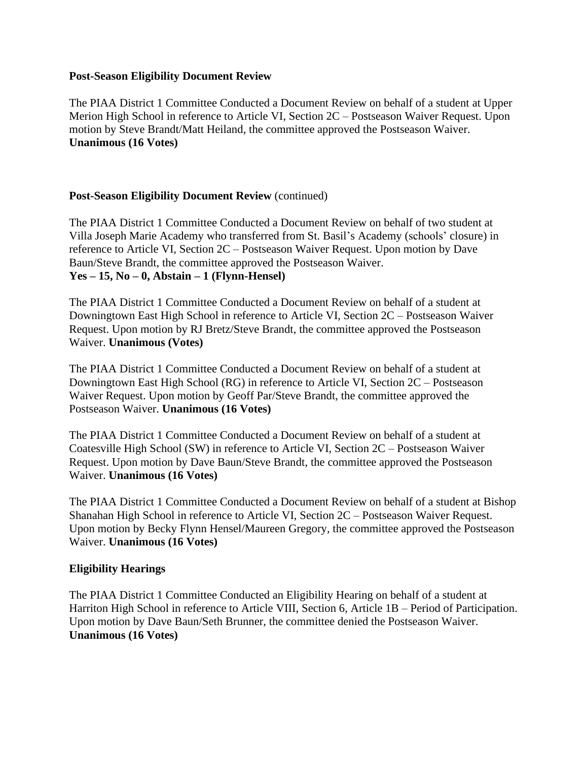#### **Post-Season Eligibility Document Review**

The PIAA District 1 Committee Conducted a Document Review on behalf of a student at Upper Merion High School in reference to Article VI, Section 2C – Postseason Waiver Request. Upon motion by Steve Brandt/Matt Heiland, the committee approved the Postseason Waiver. **Unanimous (16 Votes)**

#### **Post-Season Eligibility Document Review** (continued)

The PIAA District 1 Committee Conducted a Document Review on behalf of two student at Villa Joseph Marie Academy who transferred from St. Basil's Academy (schools' closure) in reference to Article VI, Section 2C – Postseason Waiver Request. Upon motion by Dave Baun/Steve Brandt, the committee approved the Postseason Waiver. **Yes – 15, No – 0, Abstain – 1 (Flynn-Hensel)**

The PIAA District 1 Committee Conducted a Document Review on behalf of a student at Downingtown East High School in reference to Article VI, Section 2C – Postseason Waiver Request. Upon motion by RJ Bretz/Steve Brandt, the committee approved the Postseason Waiver. **Unanimous (Votes)**

The PIAA District 1 Committee Conducted a Document Review on behalf of a student at Downingtown East High School (RG) in reference to Article VI, Section 2C – Postseason Waiver Request. Upon motion by Geoff Par/Steve Brandt, the committee approved the Postseason Waiver. **Unanimous (16 Votes)**

The PIAA District 1 Committee Conducted a Document Review on behalf of a student at Coatesville High School (SW) in reference to Article VI, Section 2C – Postseason Waiver Request. Upon motion by Dave Baun/Steve Brandt, the committee approved the Postseason Waiver. **Unanimous (16 Votes)**

The PIAA District 1 Committee Conducted a Document Review on behalf of a student at Bishop Shanahan High School in reference to Article VI, Section 2C – Postseason Waiver Request. Upon motion by Becky Flynn Hensel/Maureen Gregory, the committee approved the Postseason Waiver. **Unanimous (16 Votes)**

#### **Eligibility Hearings**

The PIAA District 1 Committee Conducted an Eligibility Hearing on behalf of a student at Harriton High School in reference to Article VIII, Section 6, Article 1B – Period of Participation. Upon motion by Dave Baun/Seth Brunner, the committee denied the Postseason Waiver. **Unanimous (16 Votes)**